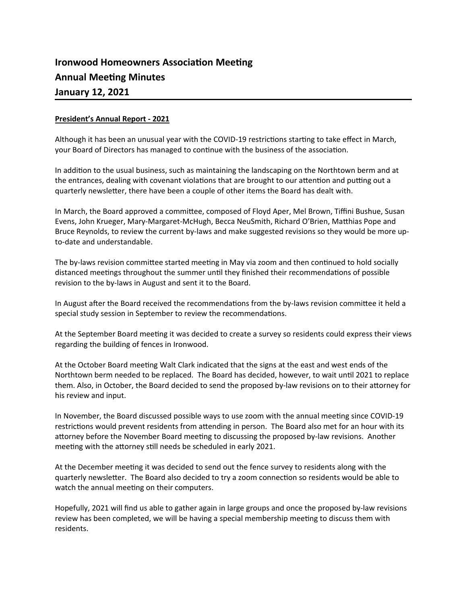# **Ironwood Homeowners Association Meeting Annual Meeting Minutes January 12, 2021**

# **President's Annual Report - 2021**

Although it has been an unusual year with the COVID-19 restrictions starting to take effect in March, your Board of Directors has managed to continue with the business of the association.

In addition to the usual business, such as maintaining the landscaping on the Northtown berm and at the entrances, dealing with covenant violations that are brought to our attention and putting out a quarterly newsletter, there have been a couple of other items the Board has dealt with.

In March, the Board approved a committee, composed of Floyd Aper, Mel Brown, Tiffini Bushue, Susan Evens, John Krueger, Mary-Margaret-McHugh, Becca NeuSmith, Richard O'Brien, Matthias Pope and Bruce Reynolds, to review the current by-laws and make suggested revisions so they would be more upto-date and understandable.

The by-laws revision committee started meeting in May via zoom and then continued to hold socially distanced meetings throughout the summer until they finished their recommendations of possible revision to the by-laws in August and sent it to the Board.

In August after the Board received the recommendations from the by-laws revision committee it held a special study session in September to review the recommendations.

At the September Board meeting it was decided to create a survey so residents could express their views regarding the building of fences in Ironwood.

At the October Board meeting Walt Clark indicated that the signs at the east and west ends of the Northtown berm needed to be replaced. The Board has decided, however, to wait until 2021 to replace them. Also, in October, the Board decided to send the proposed by-law revisions on to their attorney for his review and input.

In November, the Board discussed possible ways to use zoom with the annual meeting since COVID-19 restrictions would prevent residents from attending in person. The Board also met for an hour with its attorney before the November Board meeting to discussing the proposed by-law revisions. Another meeting with the attorney still needs be scheduled in early 2021.

At the December meeting it was decided to send out the fence survey to residents along with the quarterly newsletter. The Board also decided to try a zoom connection so residents would be able to watch the annual meeting on their computers.

Hopefully, 2021 will find us able to gather again in large groups and once the proposed by-law revisions review has been completed, we will be having a special membership meeting to discuss them with residents.